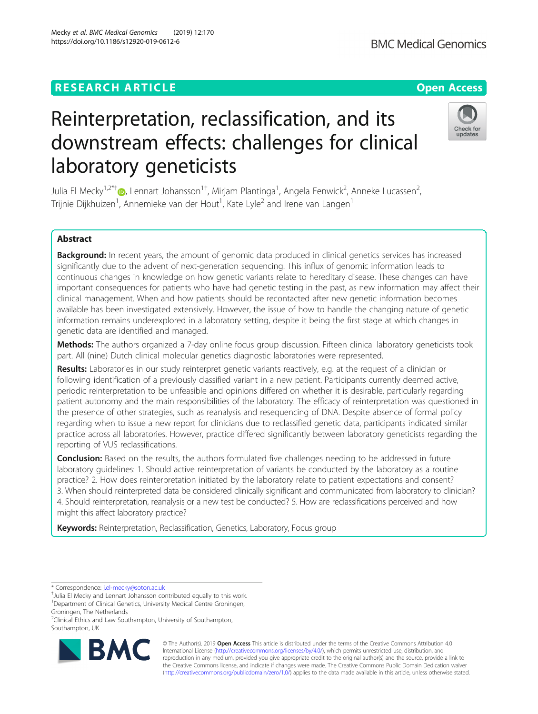# **RESEARCH ARTICLE Example 2014 12:30 The Contract of Contract ACCESS**

# Reinterpretation, reclassification, and its downstream effects: challenges for clinical laboratory geneticists

Julia El Mecky $^{1,2^{*}+}$  (D), Lennart Johansson $^{1+}$ , Mirjam Plantinga $^{1}$ , Angela Fenwick $^{2}$ , Anneke Lucassen $^{2}$ , Trijnie Dijkhuizen<sup>1</sup>, Annemieke van der Hout<sup>1</sup>, Kate Lyle<sup>2</sup> and Irene van Langen<sup>1</sup>

# Abstract

Background: In recent years, the amount of genomic data produced in clinical genetics services has increased significantly due to the advent of next-generation sequencing. This influx of genomic information leads to continuous changes in knowledge on how genetic variants relate to hereditary disease. These changes can have important consequences for patients who have had genetic testing in the past, as new information may affect their clinical management. When and how patients should be recontacted after new genetic information becomes available has been investigated extensively. However, the issue of how to handle the changing nature of genetic information remains underexplored in a laboratory setting, despite it being the first stage at which changes in genetic data are identified and managed.

Methods: The authors organized a 7-day online focus group discussion. Fifteen clinical laboratory geneticists took part. All (nine) Dutch clinical molecular genetics diagnostic laboratories were represented.

Results: Laboratories in our study reinterpret genetic variants reactively, e.g. at the request of a clinician or following identification of a previously classified variant in a new patient. Participants currently deemed active, periodic reinterpretation to be unfeasible and opinions differed on whether it is desirable, particularly regarding patient autonomy and the main responsibilities of the laboratory. The efficacy of reinterpretation was questioned in the presence of other strategies, such as reanalysis and resequencing of DNA. Despite absence of formal policy regarding when to issue a new report for clinicians due to reclassified genetic data, participants indicated similar practice across all laboratories. However, practice differed significantly between laboratory geneticists regarding the reporting of VUS reclassifications.

**Conclusion:** Based on the results, the authors formulated five challenges needing to be addressed in future laboratory guidelines: 1. Should active reinterpretation of variants be conducted by the laboratory as a routine practice? 2. How does reinterpretation initiated by the laboratory relate to patient expectations and consent? 3. When should reinterpreted data be considered clinically significant and communicated from laboratory to clinician? 4. Should reinterpretation, reanalysis or a new test be conducted? 5. How are reclassifications perceived and how might this affect laboratory practice?

**Keywords:** Reinterpretation, Reclassification, Genetics, Laboratory, Focus group

<sup>2</sup>Clinical Ethics and Law Southampton, University of Southampton,

**BMC** 

Southampton, UK



<sup>\*</sup> Correspondence: [j.el-mecky@soton.ac.uk](mailto:j.el-mecky@soton.ac.uk) †

<sup>&</sup>lt;sup>+</sup>Julia El Mecky and Lennart Johansson contributed equally to this work.

<sup>©</sup> The Author(s). 2019 **Open Access** This article is distributed under the terms of the Creative Commons Attribution 4.0 International License [\(http://creativecommons.org/licenses/by/4.0/](http://creativecommons.org/licenses/by/4.0/)), which permits unrestricted use, distribution, and reproduction in any medium, provided you give appropriate credit to the original author(s) and the source, provide a link to the Creative Commons license, and indicate if changes were made. The Creative Commons Public Domain Dedication waiver [\(http://creativecommons.org/publicdomain/zero/1.0/](http://creativecommons.org/publicdomain/zero/1.0/)) applies to the data made available in this article, unless otherwise stated.

<sup>&</sup>lt;sup>1</sup>Department of Clinical Genetics, University Medical Centre Groningen, Groningen, The Netherlands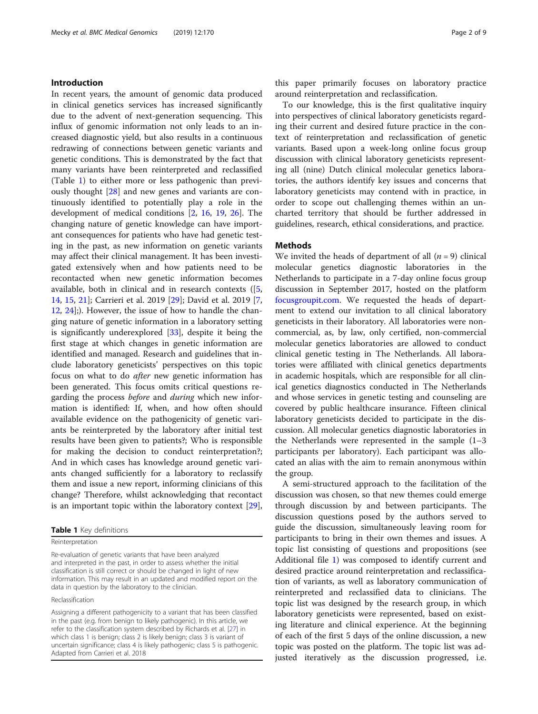# <span id="page-1-0"></span>Introduction

In recent years, the amount of genomic data produced in clinical genetics services has increased significantly due to the advent of next-generation sequencing. This influx of genomic information not only leads to an increased diagnostic yield, but also results in a continuous redrawing of connections between genetic variants and genetic conditions. This is demonstrated by the fact that many variants have been reinterpreted and reclassified (Table 1) to either more or less pathogenic than previously thought [\[28](#page-8-0)] and new genes and variants are continuously identified to potentially play a role in the development of medical conditions [[2](#page-8-0), [16,](#page-8-0) [19,](#page-8-0) [26\]](#page-8-0). The changing nature of genetic knowledge can have important consequences for patients who have had genetic testing in the past, as new information on genetic variants may affect their clinical management. It has been investigated extensively when and how patients need to be recontacted when new genetic information becomes available, both in clinical and in research contexts ([[5](#page-8-0), [14,](#page-8-0) [15,](#page-8-0) [21\]](#page-8-0); Carrieri et al. 2019 [\[29\]](#page-8-0); David et al. 2019 [\[7](#page-8-0), [12,](#page-8-0) [24\]](#page-8-0);). However, the issue of how to handle the changing nature of genetic information in a laboratory setting is significantly underexplored [[33\]](#page-8-0), despite it being the first stage at which changes in genetic information are identified and managed. Research and guidelines that include laboratory geneticists' perspectives on this topic focus on what to do after new genetic information has been generated. This focus omits critical questions regarding the process before and during which new information is identified: If, when, and how often should available evidence on the pathogenicity of genetic variants be reinterpreted by the laboratory after initial test results have been given to patients?; Who is responsible for making the decision to conduct reinterpretation?; And in which cases has knowledge around genetic variants changed sufficiently for a laboratory to reclassify them and issue a new report, informing clinicians of this change? Therefore, whilst acknowledging that recontact is an important topic within the laboratory context [\[29](#page-8-0)],

#### Reinterpretation

Re-evaluation of genetic variants that have been analyzed and interpreted in the past, in order to assess whether the initial classification is still correct or should be changed in light of new information. This may result in an updated and modified report on the data in question by the laboratory to the clinician.

#### Reclassification

Assigning a different pathogenicity to a variant that has been classified in the past (e.g. from benign to likely pathogenic). In this article, we refer to the classification system described by Richards et al. [[27\]](#page-8-0) in which class 1 is benign; class 2 is likely benign; class 3 is variant of uncertain significance; class 4 is likely pathogenic; class 5 is pathogenic. Adapted from Carrieri et al. 2018

this paper primarily focuses on laboratory practice around reinterpretation and reclassification.

To our knowledge, this is the first qualitative inquiry into perspectives of clinical laboratory geneticists regarding their current and desired future practice in the context of reinterpretation and reclassification of genetic variants. Based upon a week-long online focus group discussion with clinical laboratory geneticists representing all (nine) Dutch clinical molecular genetics laboratories, the authors identify key issues and concerns that laboratory geneticists may contend with in practice, in order to scope out challenging themes within an uncharted territory that should be further addressed in guidelines, research, ethical considerations, and practice.

# **Methods**

We invited the heads of department of all  $(n = 9)$  clinical molecular genetics diagnostic laboratories in the Netherlands to participate in a 7-day online focus group discussion in September 2017, hosted on the platform [focusgroupit.com.](http://focusgroupit.com) We requested the heads of department to extend our invitation to all clinical laboratory geneticists in their laboratory. All laboratories were noncommercial, as, by law, only certified, non-commercial molecular genetics laboratories are allowed to conduct clinical genetic testing in The Netherlands. All laboratories were affiliated with clinical genetics departments in academic hospitals, which are responsible for all clinical genetics diagnostics conducted in The Netherlands and whose services in genetic testing and counseling are covered by public healthcare insurance. Fifteen clinical laboratory geneticists decided to participate in the discussion. All molecular genetics diagnostic laboratories in the Netherlands were represented in the sample (1–3 participants per laboratory). Each participant was allocated an alias with the aim to remain anonymous within the group.

A semi-structured approach to the facilitation of the discussion was chosen, so that new themes could emerge through discussion by and between participants. The discussion questions posed by the authors served to guide the discussion, simultaneously leaving room for participants to bring in their own themes and issues. A topic list consisting of questions and propositions (see Additional file [1\)](#page-7-0) was composed to identify current and desired practice around reinterpretation and reclassification of variants, as well as laboratory communication of reinterpreted and reclassified data to clinicians. The topic list was designed by the research group, in which laboratory geneticists were represented, based on existing literature and clinical experience. At the beginning of each of the first 5 days of the online discussion, a new topic was posted on the platform. The topic list was adjusted iteratively as the discussion progressed, i.e.

Table 1 Key definitions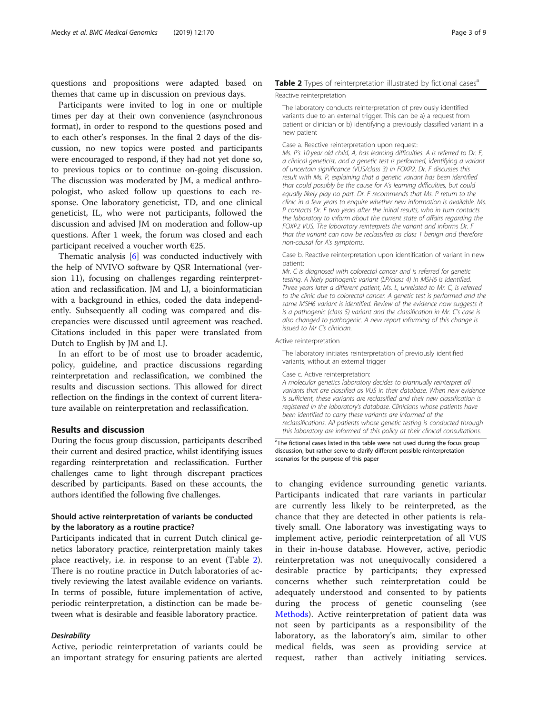<span id="page-2-0"></span>questions and propositions were adapted based on themes that came up in discussion on previous days.

Participants were invited to log in one or multiple times per day at their own convenience (asynchronous format), in order to respond to the questions posed and to each other's responses. In the final 2 days of the discussion, no new topics were posted and participants were encouraged to respond, if they had not yet done so, to previous topics or to continue on-going discussion. The discussion was moderated by JM, a medical anthropologist, who asked follow up questions to each response. One laboratory geneticist, TD, and one clinical geneticist, IL, who were not participants, followed the discussion and advised JM on moderation and follow-up questions. After 1 week, the forum was closed and each participant received a voucher worth €25.

Thematic analysis [\[6](#page-8-0)] was conducted inductively with the help of NVIVO software by QSR International (version 11), focusing on challenges regarding reinterpretation and reclassification. JM and LJ, a bioinformatician with a background in ethics, coded the data independently. Subsequently all coding was compared and discrepancies were discussed until agreement was reached. Citations included in this paper were translated from Dutch to English by JM and LJ.

In an effort to be of most use to broader academic, policy, guideline, and practice discussions regarding reinterpretation and reclassification, we combined the results and discussion sections. This allowed for direct reflection on the findings in the context of current literature available on reinterpretation and reclassification.

# Results and discussion

During the focus group discussion, participants described their current and desired practice, whilst identifying issues regarding reinterpretation and reclassification. Further challenges came to light through discrepant practices described by participants. Based on these accounts, the authors identified the following five challenges.

# Should active reinterpretation of variants be conducted by the laboratory as a routine practice?

Participants indicated that in current Dutch clinical genetics laboratory practice, reinterpretation mainly takes place reactively, i.e. in response to an event (Table 2). There is no routine practice in Dutch laboratories of actively reviewing the latest available evidence on variants. In terms of possible, future implementation of active, periodic reinterpretation, a distinction can be made between what is desirable and feasible laboratory practice.

# **Desirability**

Active, periodic reinterpretation of variants could be an important strategy for ensuring patients are alerted

# Table 2 Types of reinterpretation illustrated by fictional cases<sup>a</sup>

#### Reactive reinterpretation

The laboratory conducts reinterpretation of previously identified variants due to an external trigger. This can be a) a request from patient or clinician or b) identifying a previously classified variant in a new patient

Case a. Reactive reinterpretation upon request:

Ms. P's 10 year old child, A, has learning difficulties. A is referred to Dr. F, a clinical geneticist, and a genetic test is performed, identifying a variant of uncertain significance (VUS/class 3) in FOXP2. Dr. F discusses this result with Ms. P, explaining that a genetic variant has been identified that could possibly be the cause for A's learning difficulties, but could equally likely play no part. Dr. F recommends that Ms. P return to the clinic in a few years to enquire whether new information is available. Ms. P contacts Dr. F two years after the initial results, who in turn contacts the laboratory to inform about the current state of affairs regarding the FOXP2 VUS. The laboratory reinterprets the variant and informs Dr. F that the variant can now be reclassified as class 1 benign and therefore non-causal for A's symptoms.

Case b. Reactive reinterpretation upon identification of variant in new patient:

Mr. C is diagnosed with colorectal cancer and is referred for genetic testing. A likely pathogenic variant (LP/class 4) in MSH6 is identified. Three years later a different patient, Ms. L, unrelated to Mr. C, is referred to the clinic due to colorectal cancer. A genetic test is performed and the same MSH6 variant is identified. Review of the evidence now suggests it is a pathogenic (class 5) variant and the classification in Mr. C's case is also changed to pathogenic. A new report informing of this change is issued to Mr C's clinician.

#### Active reinterpretation

The laboratory initiates reinterpretation of previously identified variants, without an external trigger

#### Case c. Active reinterpretation:

A molecular genetics laboratory decides to biannually reinterpret all variants that are classified as VUS in their database. When new evidence is sufficient, these variants are reclassified and their new classification is registered in the laboratory's database. Clinicians whose patients have been identified to carry these variants are informed of the reclassifications. All patients whose genetic testing is conducted through this laboratory are informed of this policy at their clinical consultations.

<sup>a</sup>The fictional cases listed in this table were not used during the focus group discussion, but rather serve to clarify different possible reinterpretation scenarios for the purpose of this paper

to changing evidence surrounding genetic variants. Participants indicated that rare variants in particular are currently less likely to be reinterpreted, as the chance that they are detected in other patients is relatively small. One laboratory was investigating ways to implement active, periodic reinterpretation of all VUS in their in-house database. However, active, periodic reinterpretation was not unequivocally considered a desirable practice by participants; they expressed concerns whether such reinterpretation could be adequately understood and consented to by patients during the process of genetic counseling (see [Methods](#page-1-0)). Active reinterpretation of patient data was not seen by participants as a responsibility of the laboratory, as the laboratory's aim, similar to other medical fields, was seen as providing service at request, rather than actively initiating services.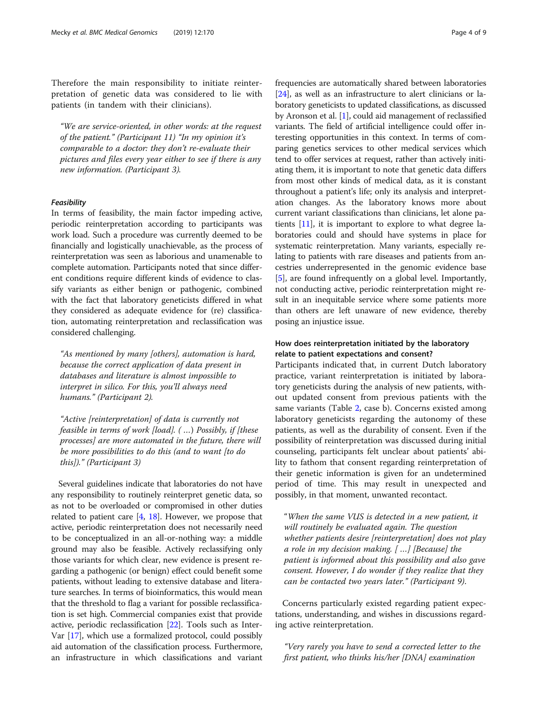Therefore the main responsibility to initiate reinterpretation of genetic data was considered to lie with patients (in tandem with their clinicians).

"We are service-oriented, in other words: at the request of the patient." (Participant 11) "In my opinion it's comparable to a doctor: they don't re-evaluate their pictures and files every year either to see if there is any new information. (Participant 3).

# Feasibility

In terms of feasibility, the main factor impeding active, periodic reinterpretation according to participants was work load. Such a procedure was currently deemed to be financially and logistically unachievable, as the process of reinterpretation was seen as laborious and unamenable to complete automation. Participants noted that since different conditions require different kinds of evidence to classify variants as either benign or pathogenic, combined with the fact that laboratory geneticists differed in what they considered as adequate evidence for (re) classification, automating reinterpretation and reclassification was considered challenging.

"As mentioned by many [others], automation is hard, because the correct application of data present in databases and literature is almost impossible to interpret in silico. For this, you'll always need humans." (Participant 2).

"Active [reinterpretation] of data is currently not feasible in terms of work [load]. ( …) Possibly, if [these processes] are more automated in the future, there will be more possibilities to do this (and to want [to do this])." (Participant 3)

Several guidelines indicate that laboratories do not have any responsibility to routinely reinterpret genetic data, so as not to be overloaded or compromised in other duties related to patient care [\[4,](#page-8-0) [18](#page-8-0)]. However, we propose that active, periodic reinterpretation does not necessarily need to be conceptualized in an all-or-nothing way: a middle ground may also be feasible. Actively reclassifying only those variants for which clear, new evidence is present regarding a pathogenic (or benign) effect could benefit some patients, without leading to extensive database and literature searches. In terms of bioinformatics, this would mean that the threshold to flag a variant for possible reclassification is set high. Commercial companies exist that provide active, periodic reclassification [[22](#page-8-0)]. Tools such as Inter-Var [[17](#page-8-0)], which use a formalized protocol, could possibly aid automation of the classification process. Furthermore, an infrastructure in which classifications and variant

frequencies are automatically shared between laboratories [[24](#page-8-0)], as well as an infrastructure to alert clinicians or laboratory geneticists to updated classifications, as discussed by Aronson et al. [[1](#page-8-0)], could aid management of reclassified variants. The field of artificial intelligence could offer interesting opportunities in this context. In terms of comparing genetics services to other medical services which tend to offer services at request, rather than actively initiating them, it is important to note that genetic data differs from most other kinds of medical data, as it is constant throughout a patient's life; only its analysis and interpretation changes. As the laboratory knows more about current variant classifications than clinicians, let alone patients  $[11]$  $[11]$  $[11]$ , it is important to explore to what degree laboratories could and should have systems in place for systematic reinterpretation. Many variants, especially relating to patients with rare diseases and patients from ancestries underrepresented in the genomic evidence base [[5\]](#page-8-0), are found infrequently on a global level. Importantly, not conducting active, periodic reinterpretation might result in an inequitable service where some patients more than others are left unaware of new evidence, thereby posing an injustice issue.

# How does reinterpretation initiated by the laboratory relate to patient expectations and consent?

Participants indicated that, in current Dutch laboratory practice, variant reinterpretation is initiated by laboratory geneticists during the analysis of new patients, without updated consent from previous patients with the same variants (Table [2](#page-2-0), case b). Concerns existed among laboratory geneticists regarding the autonomy of these patients, as well as the durability of consent. Even if the possibility of reinterpretation was discussed during initial counseling, participants felt unclear about patients' ability to fathom that consent regarding reinterpretation of their genetic information is given for an undetermined period of time. This may result in unexpected and possibly, in that moment, unwanted recontact.

"When the same VUS is detected in a new patient, it will routinely be evaluated again. The question whether patients desire [reinterpretation] does not play a role in my decision making. [ …] [Because] the patient is informed about this possibility and also gave consent. However, I do wonder if they realize that they can be contacted two years later." (Participant 9).

Concerns particularly existed regarding patient expectations, understanding, and wishes in discussions regarding active reinterpretation.

"Very rarely you have to send a corrected letter to the first patient, who thinks his/her [DNA] examination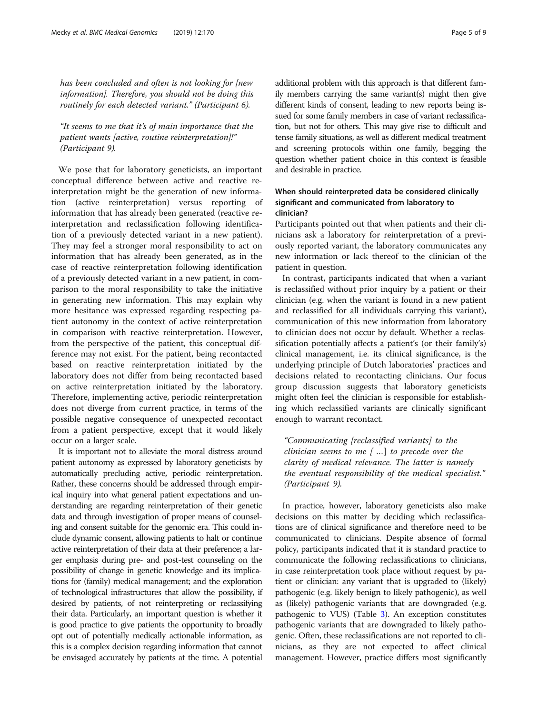has been concluded and often is not looking for [new information]. Therefore, you should not be doing this routinely for each detected variant." (Participant 6).

# "It seems to me that it's of main importance that the patient wants [active, routine reinterpretation]!" (Participant 9).

We pose that for laboratory geneticists, an important conceptual difference between active and reactive reinterpretation might be the generation of new information (active reinterpretation) versus reporting of information that has already been generated (reactive reinterpretation and reclassification following identification of a previously detected variant in a new patient). They may feel a stronger moral responsibility to act on information that has already been generated, as in the case of reactive reinterpretation following identification of a previously detected variant in a new patient, in comparison to the moral responsibility to take the initiative in generating new information. This may explain why more hesitance was expressed regarding respecting patient autonomy in the context of active reinterpretation in comparison with reactive reinterpretation. However, from the perspective of the patient, this conceptual difference may not exist. For the patient, being recontacted based on reactive reinterpretation initiated by the laboratory does not differ from being recontacted based on active reinterpretation initiated by the laboratory. Therefore, implementing active, periodic reinterpretation does not diverge from current practice, in terms of the possible negative consequence of unexpected recontact from a patient perspective, except that it would likely occur on a larger scale.

It is important not to alleviate the moral distress around patient autonomy as expressed by laboratory geneticists by automatically precluding active, periodic reinterpretation. Rather, these concerns should be addressed through empirical inquiry into what general patient expectations and understanding are regarding reinterpretation of their genetic data and through investigation of proper means of counseling and consent suitable for the genomic era. This could include dynamic consent, allowing patients to halt or continue active reinterpretation of their data at their preference; a larger emphasis during pre- and post-test counseling on the possibility of change in genetic knowledge and its implications for (family) medical management; and the exploration of technological infrastructures that allow the possibility, if desired by patients, of not reinterpreting or reclassifying their data. Particularly, an important question is whether it is good practice to give patients the opportunity to broadly opt out of potentially medically actionable information, as this is a complex decision regarding information that cannot be envisaged accurately by patients at the time. A potential additional problem with this approach is that different family members carrying the same variant(s) might then give different kinds of consent, leading to new reports being issued for some family members in case of variant reclassification, but not for others. This may give rise to difficult and tense family situations, as well as different medical treatment and screening protocols within one family, begging the question whether patient choice in this context is feasible and desirable in practice.

# When should reinterpreted data be considered clinically significant and communicated from laboratory to clinician?

Participants pointed out that when patients and their clinicians ask a laboratory for reinterpretation of a previously reported variant, the laboratory communicates any new information or lack thereof to the clinician of the patient in question.

In contrast, participants indicated that when a variant is reclassified without prior inquiry by a patient or their clinician (e.g. when the variant is found in a new patient and reclassified for all individuals carrying this variant), communication of this new information from laboratory to clinician does not occur by default. Whether a reclassification potentially affects a patient's (or their family's) clinical management, i.e. its clinical significance, is the underlying principle of Dutch laboratories' practices and decisions related to recontacting clinicians. Our focus group discussion suggests that laboratory geneticists might often feel the clinician is responsible for establishing which reclassified variants are clinically significant enough to warrant recontact.

"Communicating [reclassified variants] to the clinician seems to me  $[$ ...] to precede over the clarity of medical relevance. The latter is namely the eventual responsibility of the medical specialist." (Participant 9).

In practice, however, laboratory geneticists also make decisions on this matter by deciding which reclassifications are of clinical significance and therefore need to be communicated to clinicians. Despite absence of formal policy, participants indicated that it is standard practice to communicate the following reclassifications to clinicians, in case reinterpretation took place without request by patient or clinician: any variant that is upgraded to (likely) pathogenic (e.g. likely benign to likely pathogenic), as well as (likely) pathogenic variants that are downgraded (e.g. pathogenic to VUS) (Table [3](#page-5-0)). An exception constitutes pathogenic variants that are downgraded to likely pathogenic. Often, these reclassifications are not reported to clinicians, as they are not expected to affect clinical management. However, practice differs most significantly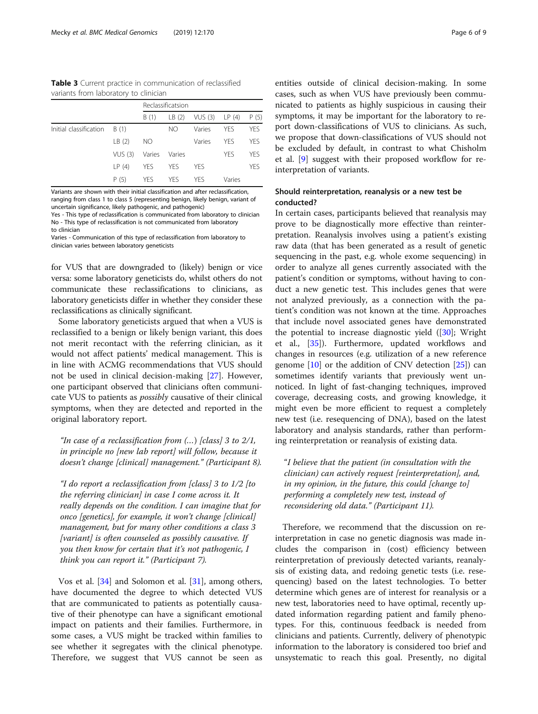<span id="page-5-0"></span>Table 3 Current practice in communication of reclassified variants from laboratory to clinician

|                        |         | Reclassificatsion |            |                |            |            |
|------------------------|---------|-------------------|------------|----------------|------------|------------|
|                        |         | B (1)             | LB(2)      | VUS (3) LP (4) |            | P(5)       |
| Initial classification | B(1)    |                   | NO         | Varies         | <b>YFS</b> | <b>YFS</b> |
|                        | LB(2)   | NO.               |            | Varies         | <b>YFS</b> | <b>YFS</b> |
|                        | VUS (3) | Varies            | Varies     |                | <b>YFS</b> | <b>YFS</b> |
|                        | LP(4)   | YES               | <b>YFS</b> | <b>YFS</b>     |            | <b>YFS</b> |
|                        | P (5)   | YFS.              | YES        | <b>YFS</b>     | Varies     |            |

Variants are shown with their initial classification and after reclassification, ranging from class 1 to class 5 (representing benign, likely benign, variant of uncertain significance, likely pathogenic, and pathogenic)

Yes - This type of reclassification is communicated from laboratory to clinician No - This type of reclassification is not communicated from laboratory to clinician

Varies - Communication of this type of reclassification from laboratory to clinician varies between laboratory geneticists

for VUS that are downgraded to (likely) benign or vice versa: some laboratory geneticists do, whilst others do not communicate these reclassifications to clinicians, as laboratory geneticists differ in whether they consider these reclassifications as clinically significant.

Some laboratory geneticists argued that when a VUS is reclassified to a benign or likely benign variant, this does not merit recontact with the referring clinician, as it would not affect patients' medical management. This is in line with ACMG recommendations that VUS should not be used in clinical decision-making [\[27](#page-8-0)]. However, one participant observed that clinicians often communicate VUS to patients as possibly causative of their clinical symptoms, when they are detected and reported in the original laboratory report.

"In case of a reclassification from  $(...)$  [class] 3 to  $2/1$ , in principle no [new lab report] will follow, because it doesn't change [clinical] management." (Participant 8).

"I do report a reclassification from [class] 3 to 1/2 [to the referring clinician] in case I come across it. It really depends on the condition. I can imagine that for onco [genetics], for example, it won't change [clinical] management, but for many other conditions a class 3 [variant] is often counseled as possibly causative. If you then know for certain that it's not pathogenic, I think you can report it." (Participant 7).

Vos et al. [[34\]](#page-8-0) and Solomon et al. [[31\]](#page-8-0), among others, have documented the degree to which detected VUS that are communicated to patients as potentially causative of their phenotype can have a significant emotional impact on patients and their families. Furthermore, in some cases, a VUS might be tracked within families to see whether it segregates with the clinical phenotype. Therefore, we suggest that VUS cannot be seen as

entities outside of clinical decision-making. In some cases, such as when VUS have previously been communicated to patients as highly suspicious in causing their symptoms, it may be important for the laboratory to report down-classifications of VUS to clinicians. As such, we propose that down-classifications of VUS should not be excluded by default, in contrast to what Chisholm et al. [\[9](#page-8-0)] suggest with their proposed workflow for reinterpretation of variants.

# Should reinterpretation, reanalysis or a new test be conducted?

In certain cases, participants believed that reanalysis may prove to be diagnostically more effective than reinterpretation. Reanalysis involves using a patient's existing raw data (that has been generated as a result of genetic sequencing in the past, e.g. whole exome sequencing) in order to analyze all genes currently associated with the patient's condition or symptoms, without having to conduct a new genetic test. This includes genes that were not analyzed previously, as a connection with the patient's condition was not known at the time. Approaches that include novel associated genes have demonstrated the potential to increase diagnostic yield ([\[30](#page-8-0)]; Wright et al., [\[35](#page-8-0)]). Furthermore, updated workflows and changes in resources (e.g. utilization of a new reference genome [\[10](#page-8-0)] or the addition of CNV detection [[25\]](#page-8-0)) can sometimes identify variants that previously went unnoticed. In light of fast-changing techniques, improved coverage, decreasing costs, and growing knowledge, it might even be more efficient to request a completely new test (i.e. resequencing of DNA), based on the latest laboratory and analysis standards, rather than performing reinterpretation or reanalysis of existing data.

"I believe that the patient (in consultation with the clinician) can actively request [reinterpretation], and, in my opinion, in the future, this could [change to] performing a completely new test, instead of reconsidering old data." (Participant 11).

Therefore, we recommend that the discussion on reinterpretation in case no genetic diagnosis was made includes the comparison in (cost) efficiency between reinterpretation of previously detected variants, reanalysis of existing data, and redoing genetic tests (i.e. resequencing) based on the latest technologies. To better determine which genes are of interest for reanalysis or a new test, laboratories need to have optimal, recently updated information regarding patient and family phenotypes. For this, continuous feedback is needed from clinicians and patients. Currently, delivery of phenotypic information to the laboratory is considered too brief and unsystematic to reach this goal. Presently, no digital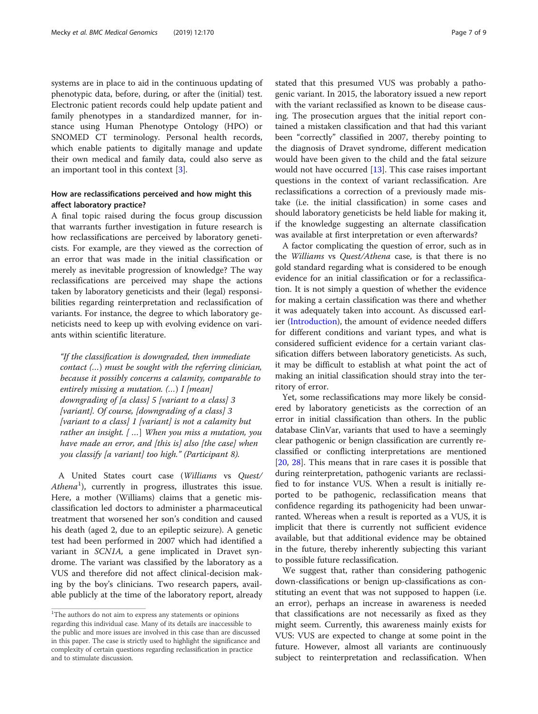systems are in place to aid in the continuous updating of phenotypic data, before, during, or after the (initial) test. Electronic patient records could help update patient and family phenotypes in a standardized manner, for instance using Human Phenotype Ontology (HPO) or SNOMED CT terminology. Personal health records, which enable patients to digitally manage and update their own medical and family data, could also serve as an important tool in this context [\[3](#page-8-0)].

# How are reclassifications perceived and how might this affect laboratory practice?

A final topic raised during the focus group discussion that warrants further investigation in future research is how reclassifications are perceived by laboratory geneticists. For example, are they viewed as the correction of an error that was made in the initial classification or merely as inevitable progression of knowledge? The way reclassifications are perceived may shape the actions taken by laboratory geneticists and their (legal) responsibilities regarding reinterpretation and reclassification of variants. For instance, the degree to which laboratory geneticists need to keep up with evolving evidence on variants within scientific literature.

"If the classification is downgraded, then immediate contact (…) must be sought with the referring clinician, because it possibly concerns a calamity, comparable to entirely missing a mutation. (…) I [mean] downgrading of [a class] 5 [variant to a class] 3 [variant]. Of course, [downgrading of a class] 3 [variant to a class]  $1$  [variant] is not a calamity but rather an insight. [ …] When you miss a mutation, you have made an error, and [this is] also [the case] when you classify [a variant] too high." (Participant 8).

A United States court case (Williams vs Quest/ Athena<sup>1</sup>), currently in progress, illustrates this issue. Here, a mother (Williams) claims that a genetic misclassification led doctors to administer a pharmaceutical treatment that worsened her son's condition and caused his death (aged 2, due to an epileptic seizure). A genetic test had been performed in 2007 which had identified a variant in SCN1A, a gene implicated in Dravet syndrome. The variant was classified by the laboratory as a VUS and therefore did not affect clinical-decision making by the boy's clinicians. Two research papers, available publicly at the time of the laboratory report, already stated that this presumed VUS was probably a pathogenic variant. In 2015, the laboratory issued a new report with the variant reclassified as known to be disease causing. The prosecution argues that the initial report contained a mistaken classification and that had this variant been "correctly" classified in 2007, thereby pointing to the diagnosis of Dravet syndrome, different medication would have been given to the child and the fatal seizure would not have occurred [\[13\]](#page-8-0). This case raises important questions in the context of variant reclassification. Are reclassifications a correction of a previously made mistake (i.e. the initial classification) in some cases and should laboratory geneticists be held liable for making it, if the knowledge suggesting an alternate classification was available at first interpretation or even afterwards?

A factor complicating the question of error, such as in the Williams vs Quest/Athena case, is that there is no gold standard regarding what is considered to be enough evidence for an initial classification or for a reclassification. It is not simply a question of whether the evidence for making a certain classification was there and whether it was adequately taken into account. As discussed earlier ([Introduction](#page-1-0)), the amount of evidence needed differs for different conditions and variant types, and what is considered sufficient evidence for a certain variant classification differs between laboratory geneticists. As such, it may be difficult to establish at what point the act of making an initial classification should stray into the territory of error.

Yet, some reclassifications may more likely be considered by laboratory geneticists as the correction of an error in initial classification than others. In the public database ClinVar, variants that used to have a seemingly clear pathogenic or benign classification are currently reclassified or conflicting interpretations are mentioned [[20,](#page-8-0) [28](#page-8-0)]. This means that in rare cases it is possible that during reinterpretation, pathogenic variants are reclassified to for instance VUS. When a result is initially reported to be pathogenic, reclassification means that confidence regarding its pathogenicity had been unwarranted. Whereas when a result is reported as a VUS, it is implicit that there is currently not sufficient evidence available, but that additional evidence may be obtained in the future, thereby inherently subjecting this variant to possible future reclassification.

We suggest that, rather than considering pathogenic down-classifications or benign up-classifications as constituting an event that was not supposed to happen (i.e. an error), perhaps an increase in awareness is needed that classifications are not necessarily as fixed as they might seem. Currently, this awareness mainly exists for VUS: VUS are expected to change at some point in the future. However, almost all variants are continuously subject to reinterpretation and reclassification. When

<sup>&</sup>lt;sup>1</sup>The authors do not aim to express any statements or opinions regarding this individual case. Many of its details are inaccessible to the public and more issues are involved in this case than are discussed in this paper. The case is strictly used to highlight the significance and complexity of certain questions regarding reclassification in practice and to stimulate discussion.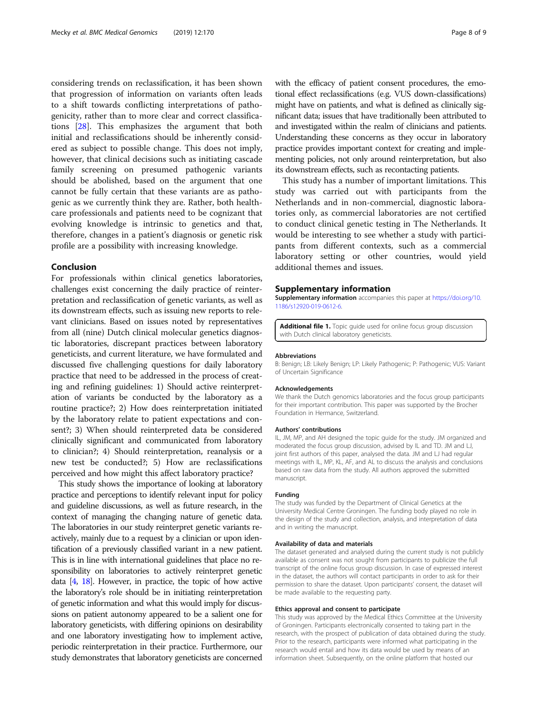<span id="page-7-0"></span>considering trends on reclassification, it has been shown that progression of information on variants often leads to a shift towards conflicting interpretations of pathogenicity, rather than to more clear and correct classifications [\[28](#page-8-0)]. This emphasizes the argument that both initial and reclassifications should be inherently considered as subject to possible change. This does not imply, however, that clinical decisions such as initiating cascade family screening on presumed pathogenic variants should be abolished, based on the argument that one cannot be fully certain that these variants are as pathogenic as we currently think they are. Rather, both healthcare professionals and patients need to be cognizant that evolving knowledge is intrinsic to genetics and that, therefore, changes in a patient's diagnosis or genetic risk profile are a possibility with increasing knowledge.

# Conclusion

For professionals within clinical genetics laboratories, challenges exist concerning the daily practice of reinterpretation and reclassification of genetic variants, as well as its downstream effects, such as issuing new reports to relevant clinicians. Based on issues noted by representatives from all (nine) Dutch clinical molecular genetics diagnostic laboratories, discrepant practices between laboratory geneticists, and current literature, we have formulated and discussed five challenging questions for daily laboratory practice that need to be addressed in the process of creating and refining guidelines: 1) Should active reinterpretation of variants be conducted by the laboratory as a routine practice?; 2) How does reinterpretation initiated by the laboratory relate to patient expectations and consent?; 3) When should reinterpreted data be considered clinically significant and communicated from laboratory to clinician?; 4) Should reinterpretation, reanalysis or a new test be conducted?; 5) How are reclassifications perceived and how might this affect laboratory practice?

This study shows the importance of looking at laboratory practice and perceptions to identify relevant input for policy and guideline discussions, as well as future research, in the context of managing the changing nature of genetic data. The laboratories in our study reinterpret genetic variants reactively, mainly due to a request by a clinician or upon identification of a previously classified variant in a new patient. This is in line with international guidelines that place no responsibility on laboratories to actively reinterpret genetic data  $[4, 18]$  $[4, 18]$  $[4, 18]$ . However, in practice, the topic of how active the laboratory's role should be in initiating reinterpretation of genetic information and what this would imply for discussions on patient autonomy appeared to be a salient one for laboratory geneticists, with differing opinions on desirability and one laboratory investigating how to implement active, periodic reinterpretation in their practice. Furthermore, our study demonstrates that laboratory geneticists are concerned with the efficacy of patient consent procedures, the emotional effect reclassifications (e.g. VUS down-classifications) might have on patients, and what is defined as clinically significant data; issues that have traditionally been attributed to and investigated within the realm of clinicians and patients. Understanding these concerns as they occur in laboratory practice provides important context for creating and implementing policies, not only around reinterpretation, but also its downstream effects, such as recontacting patients.

This study has a number of important limitations. This study was carried out with participants from the Netherlands and in non-commercial, diagnostic laboratories only, as commercial laboratories are not certified to conduct clinical genetic testing in The Netherlands. It would be interesting to see whether a study with participants from different contexts, such as a commercial laboratory setting or other countries, would yield additional themes and issues.

#### Supplementary information

Supplementary information accompanies this paper at [https://doi.org/10.](https://doi.org/10.1186/s12920-019-0612-6) [1186/s12920-019-0612-6.](https://doi.org/10.1186/s12920-019-0612-6)

Additional file 1. Topic quide used for online focus group discussion with Dutch clinical laboratory geneticists.

#### Abbreviations

B: Benign; LB: Likely Benign; LP: Likely Pathogenic; P: Pathogenic; VUS: Variant of Uncertain Significance

#### Acknowledgements

We thank the Dutch genomics laboratories and the focus group participants for their important contribution. This paper was supported by the Brocher Foundation in Hermance, Switzerland.

#### Authors' contributions

IL, JM, MP, and AH designed the topic guide for the study. JM organized and moderated the focus group discussion, advised by IL and TD. JM and LJ, joint first authors of this paper, analysed the data. JM and LJ had regular meetings with IL, MP, KL, AF, and AL to discuss the analysis and conclusions based on raw data from the study. All authors approved the submitted manuscript.

#### Funding

The study was funded by the Department of Clinical Genetics at the University Medical Centre Groningen. The funding body played no role in the design of the study and collection, analysis, and interpretation of data and in writing the manuscript.

#### Availability of data and materials

The dataset generated and analysed during the current study is not publicly available as consent was not sought from participants to publicize the full transcript of the online focus group discussion. In case of expressed interest in the dataset, the authors will contact participants in order to ask for their permission to share the dataset. Upon participants' consent, the dataset will be made available to the requesting party.

## Ethics approval and consent to participate

This study was approved by the Medical Ethics Committee at the University of Groningen. Participants electronically consented to taking part in the research, with the prospect of publication of data obtained during the study. Prior to the research, participants were informed what participating in the research would entail and how its data would be used by means of an information sheet. Subsequently, on the online platform that hosted our